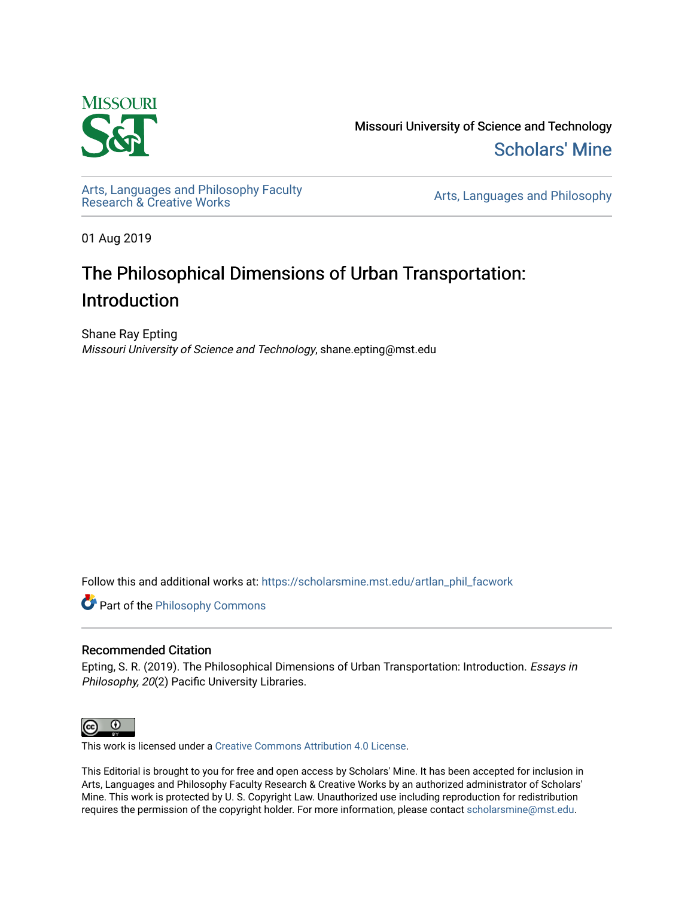

Missouri University of Science and Technology [Scholars' Mine](https://scholarsmine.mst.edu/) 

[Arts, Languages and Philosophy Faculty](https://scholarsmine.mst.edu/artlan_phil_facwork) 

Arts, Languages and Philosophy

01 Aug 2019

## The Philosophical Dimensions of Urban Transportation: Introduction

Shane Ray Epting Missouri University of Science and Technology, shane.epting@mst.edu

Follow this and additional works at: [https://scholarsmine.mst.edu/artlan\\_phil\\_facwork](https://scholarsmine.mst.edu/artlan_phil_facwork?utm_source=scholarsmine.mst.edu%2Fartlan_phil_facwork%2F144&utm_medium=PDF&utm_campaign=PDFCoverPages) 

**Part of the Philosophy Commons** 

## Recommended Citation

Epting, S. R. (2019). The Philosophical Dimensions of Urban Transportation: Introduction. Essays in Philosophy, 20(2) Pacific University Libraries.



This work is licensed under a [Creative Commons Attribution 4.0 License](https://creativecommons.org/licenses/by/4.0/).

This Editorial is brought to you for free and open access by Scholars' Mine. It has been accepted for inclusion in Arts, Languages and Philosophy Faculty Research & Creative Works by an authorized administrator of Scholars' Mine. This work is protected by U. S. Copyright Law. Unauthorized use including reproduction for redistribution requires the permission of the copyright holder. For more information, please contact [scholarsmine@mst.edu.](mailto:scholarsmine@mst.edu)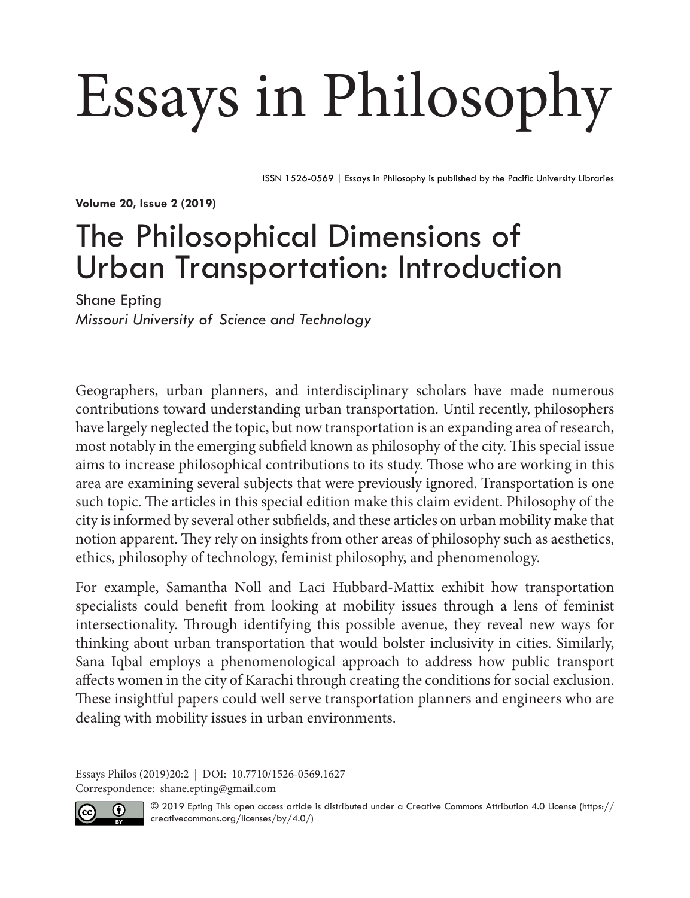## Essays in Philosophy

ISSN 1526-0569 | Essays in Philosophy is published by the Pacific University Libraries

**Volume 20, Issue 2 (2019)**

## The Philosophical Dimensions of Urban Transportation: Introduction

Shane Epting *Missouri University of Science and Technology*

Geographers, urban planners, and interdisciplinary scholars have made numerous contributions toward understanding urban transportation. Until recently, philosophers have largely neglected the topic, but now transportation is an expanding area of research, most notably in the emerging subfield known as philosophy of the city. This special issue aims to increase philosophical contributions to its study. Those who are working in this area are examining several subjects that were previously ignored. Transportation is one such topic. The articles in this special edition make this claim evident. Philosophy of the city is informed by several other subfields, and these articles on urban mobility make that notion apparent. They rely on insights from other areas of philosophy such as aesthetics, ethics, philosophy of technology, feminist philosophy, and phenomenology.

For example, Samantha Noll and Laci Hubbard-Mattix exhibit how transportation specialists could benefit from looking at mobility issues through a lens of feminist intersectionality. Through identifying this possible avenue, they reveal new ways for thinking about urban transportation that would bolster inclusivity in cities. Similarly, Sana Iqbal employs a phenomenological approach to address how public transport affects women in the city of Karachi through creating the conditions for social exclusion. These insightful papers could well serve transportation planners and engineers who are dealing with mobility issues in urban environments.

Essays Philos (2019)20:2 | DOI: 10.7710/1526-0569.1627 Correspondence: shane.epting@gmail.com



© 2019 Epting This open access article is distributed under a Creative Commons Attribution 4.0 License ([https://](https://creativecommons.org/licenses/by/4.0/) [creativecommons.org/licenses/by/4.0/](https://creativecommons.org/licenses/by/4.0/))